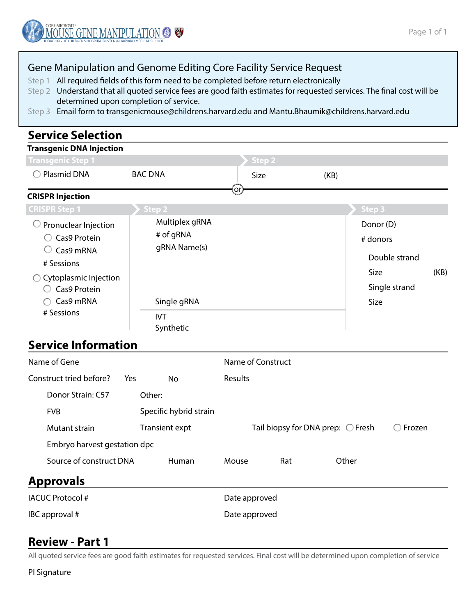

#### Gene Manipulation and Genome Editing Core Facility Service Request

Step 1 All required fields of this form need to be completed before return electronically

- Step 2 Understand that all quoted service fees are good faith estimates for requested services. The final cost will be determined upon completion of service.
- Step 3 Email form to transgenicmouse@childrens.harvard.edu and Mantu.Bhaumik@childrens.harvard.edu

## **Service Selection**

# **Transgenic DNA Injection**

| Transgenic Step 1                                                                                                   |                                             | Step 2 |                                                                         |        |  |
|---------------------------------------------------------------------------------------------------------------------|---------------------------------------------|--------|-------------------------------------------------------------------------|--------|--|
| Plasmid DNA                                                                                                         | <b>BAC DNA</b>                              | Size   | (KB)                                                                    |        |  |
| <b>CRISPR Injection</b>                                                                                             |                                             | or.    |                                                                         |        |  |
| <b>CRISPR Step 1</b>                                                                                                | Step 2                                      |        |                                                                         | Step 3 |  |
| $\bigcirc$ Pronuclear Injection<br>Cas9 Protein<br>Cas9 mRNA<br># Sessions<br>Cytoplasmic Injection<br>Cas9 Protein | Multiplex gRNA<br># of gRNA<br>gRNA Name(s) |        | Donor (D)<br># donors<br>Double strand<br>(KB)<br>Size<br>Single strand |        |  |
| Cas9 mRNA<br># Sessions<br><b>Service Information</b>                                                               | Single gRNA<br>IVT<br>Synthetic             |        |                                                                         | Size   |  |

| Name of Gene                 |     |                        | Name of Construct |     |                                            |        |
|------------------------------|-----|------------------------|-------------------|-----|--------------------------------------------|--------|
| Construct tried before?      | Yes | No                     | <b>Results</b>    |     |                                            |        |
| Donor Strain: C57            |     | Other:                 |                   |     |                                            |        |
| <b>FVB</b>                   |     | Specific hybrid strain |                   |     |                                            |        |
| Mutant strain                |     | Transient expt         |                   |     | Tail biopsy for DNA prep: $\bigcirc$ Fresh | Frozen |
| Embryo harvest gestation dpc |     |                        |                   |     |                                            |        |
| Source of construct DNA      |     | Human                  | Mouse             | Rat | Other                                      |        |
| <b>Approvals</b>             |     |                        |                   |     |                                            |        |
| <b>IACUC Protocol #</b>      |     | Date approved          |                   |     |                                            |        |
| IBC approval #               |     | Date approved          |                   |     |                                            |        |

# **Review - Part 1**

All quoted service fees are good faith estimates for requested services. Final cost will be determined upon completion of service

PI Signature